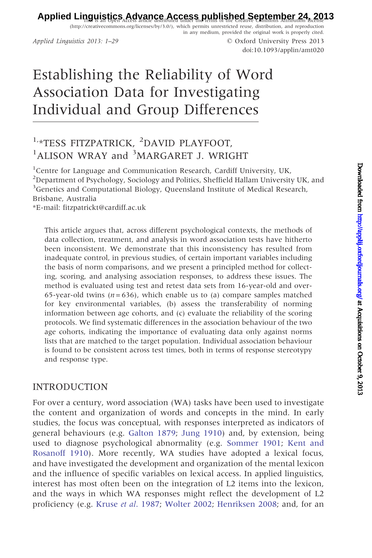(http://creativecommons.org/licenses/by/3.0/), which permits unrestricted reuse, distribution, and reproduction in any medium, provided the original work is properly cited.

Applied Linguistics 2013: 1-29

 Oxford University Press 2013 doi:10.1093/applin/amt020

# Establishing the Reliability of Word Association Data for Investigating Individual and Group Differences

# <sup>1,</sup>\*TESS FITZPATRICK, <sup>2</sup>DAVID PLAYFOOT, <sup>1</sup>ALISON WRAY and <sup>3</sup>MARGARET J. WRIGHT

<sup>1</sup>Centre for Language and Communication Research, Cardiff University, UK, <sup>2</sup>Department of Psychology, Sociology and Politics, Sheffield Hallam University UK, and <sup>3</sup> Genetics and Computational Biology, Queensland Institute of Medical Research, Brisbane, Australia \*E-mail: fitzpatrickt@cardiff.ac.uk

This article argues that, across different psychological contexts, the methods of data collection, treatment, and analysis in word association tests have hitherto been inconsistent. We demonstrate that this inconsistency has resulted from inadequate control, in previous studies, of certain important variables including the basis of norm comparisons, and we present a principled method for collecting, scoring, and analysing association responses, to address these issues. The method is evaluated using test and retest data sets from 16-year-old and over-65-year-old twins ( $n = 636$ ), which enable us to (a) compare samples matched for key environmental variables, (b) assess the transferability of norming information between age cohorts, and (c) evaluate the reliability of the scoring protocols. We find systematic differences in the association behaviour of the two age cohorts, indicating the importance of evaluating data only against norms lists that are matched to the target population. Individual association behaviour is found to be consistent across test times, both in terms of response stereotypy and response type.

### INTRODUCTION

For over a century, word association (WA) tasks have been used to investigate the content and organization of words and concepts in the mind. In early studies, the focus was conceptual, with responses interpreted as indicators of general behaviours (e.g. [Galton 1879](#page-26-0); [Jung 1910](#page-26-0)) and, by extension, being used to diagnose psychological abnormality (e.g. [Sommer 1901](#page-27-0); [Kent and](#page-26-0) [Rosanoff 1910\)](#page-26-0). More recently, WA studies have adopted a lexical focus, and have investigated the development and organization of the mental lexicon and the influence of specific variables on lexical access. In applied linguistics, interest has most often been on the integration of L2 items into the lexicon, and the ways in which WA responses might reflect the development of L2 proficiency (e.g. Kruse et al[. 1987;](#page-26-0) [Wolter 2002](#page-27-0); [Henriksen 2008](#page-26-0); and, for an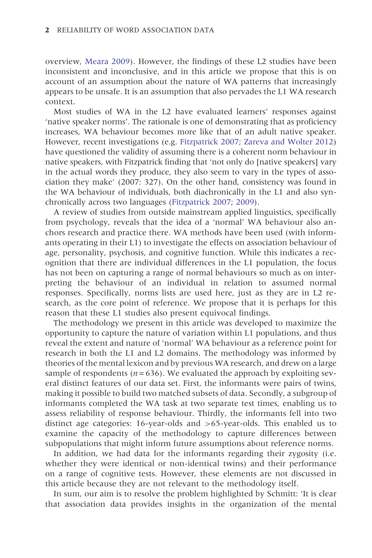overview, [Meara 2009\)](#page-26-0). However, the findings of these L2 studies have been inconsistent and inconclusive, and in this article we propose that this is on account of an assumption about the nature of WA patterns that increasingly appears to be unsafe. It is an assumption that also pervades the L1 WA research context.

Most studies of WA in the L2 have evaluated learners' responses against 'native speaker norms'. The rationale is one of demonstrating that as proficiency increases, WA behaviour becomes more like that of an adult native speaker. However, recent investigations (e.g. [Fitzpatrick 2007](#page-25-0); [Zareva and Wolter 2012\)](#page-27-0) have questioned the validity of assuming there is a coherent norm behaviour in native speakers, with Fitzpatrick finding that 'not only do [native speakers] vary in the actual words they produce, they also seem to vary in the types of association they make' (2007: 327). On the other hand, consistency was found in the WA behaviour of individuals, both diachronically in the L1 and also synchronically across two languages [\(Fitzpatrick 2007;](#page-25-0) [2009](#page-27-0)).

A review of studies from outside mainstream applied linguistics, specifically from psychology, reveals that the idea of a 'normal' WA behaviour also anchors research and practice there. WA methods have been used (with informants operating in their L1) to investigate the effects on association behaviour of age, personality, psychosis, and cognitive function. While this indicates a recognition that there are individual differences in the L1 population, the focus has not been on capturing a range of normal behaviours so much as on interpreting the behaviour of an individual in relation to assumed normal responses. Specifically, norms lists are used here, just as they are in L2 research, as the core point of reference. We propose that it is perhaps for this reason that these L1 studies also present equivocal findings.

The methodology we present in this article was developed to maximize the opportunity to capture the nature of variation within L1 populations, and thus reveal the extent and nature of 'normal' WA behaviour as a reference point for research in both the L1 and L2 domains. The methodology was informed by theories of the mental lexicon and by previous WA research, and drew on a large sample of respondents ( $n = 636$ ). We evaluated the approach by exploiting several distinct features of our data set. First, the informants were pairs of twins, making it possible to build two matched subsets of data. Secondly, a subgroup of informants completed the WA task at two separate test times, enabling us to assess reliability of response behaviour. Thirdly, the informants fell into two distinct age categories: 16-year-olds and >65-year-olds. This enabled us to examine the capacity of the methodology to capture differences between subpopulations that might inform future assumptions about reference norms.

In addition, we had data for the informants regarding their zygosity (i.e. whether they were identical or non-identical twins) and their performance on a range of cognitive tests. However, these elements are not discussed in this article because they are not relevant to the methodology itself.

In sum, our aim is to resolve the problem highlighted by Schmitt: 'It is clear that association data provides insights in the organization of the mental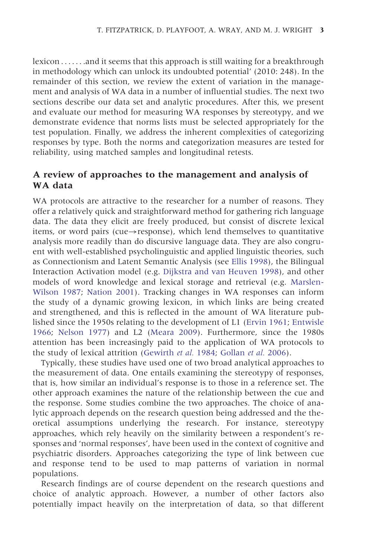lexicon ...... .and it seems that this approach is still waiting for a breakthrough in methodology which can unlock its undoubted potential' (2010: 248). In the remainder of this section, we review the extent of variation in the management and analysis of WA data in a number of influential studies. The next two sections describe our data set and analytic procedures. After this, we present and evaluate our method for measuring WA responses by stereotypy, and we demonstrate evidence that norms lists must be selected appropriately for the test population. Finally, we address the inherent complexities of categorizing responses by type. Both the norms and categorization measures are tested for reliability, using matched samples and longitudinal retests.

# A review of approaches to the management and analysis of WA data

WA protocols are attractive to the researcher for a number of reasons. They offer a relatively quick and straightforward method for gathering rich language data. The data they elicit are freely produced, but consist of discrete lexical items, or word pairs (cue $\rightarrow$  response), which lend themselves to quantitative analysis more readily than do discursive language data. They are also congruent with well-established psycholinguistic and applied linguistic theories, such as Connectionism and Latent Semantic Analysis (see [Ellis 1998\)](#page-25-0), the Bilingual Interaction Activation model (e.g. [Dijkstra and van Heuven 1998\)](#page-25-0), and other models of word knowledge and lexical storage and retrieval (e.g. [Marslen-](#page-26-0)[Wilson 1987](#page-26-0); [Nation 2001\)](#page-26-0). Tracking changes in WA responses can inform the study of a dynamic growing lexicon, in which links are being created and strengthened, and this is reflected in the amount of WA literature published since the 1950s relating to the development of L1 ([Ervin 1961;](#page-25-0) [Entwisle](#page-25-0) [1966;](#page-25-0) [Nelson 1977](#page-26-0)) and L2 ([Meara 2009\)](#page-26-0). Furthermore, since the 1980s attention has been increasingly paid to the application of WA protocols to the study of lexical attrition ([Gewirth](#page-26-0) et al. 1984; [Gollan](#page-26-0) et al. 2006).

Typically, these studies have used one of two broad analytical approaches to the measurement of data. One entails examining the stereotypy of responses, that is, how similar an individual's response is to those in a reference set. The other approach examines the nature of the relationship between the cue and the response. Some studies combine the two approaches. The choice of analytic approach depends on the research question being addressed and the theoretical assumptions underlying the research. For instance, stereotypy approaches, which rely heavily on the similarity between a respondent's responses and 'normal responses', have been used in the context of cognitive and psychiatric disorders. Approaches categorizing the type of link between cue and response tend to be used to map patterns of variation in normal populations.

Research findings are of course dependent on the research questions and choice of analytic approach. However, a number of other factors also potentially impact heavily on the interpretation of data, so that different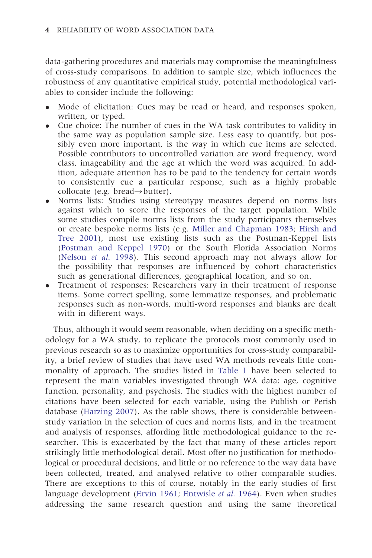data-gathering procedures and materials may compromise the meaningfulness of cross-study comparisons. In addition to sample size, which influences the robustness of any quantitative empirical study, potential methodological variables to consider include the following:

- Mode of elicitation: Cues may be read or heard, and responses spoken, written, or typed.
- Cue choice: The number of cues in the WA task contributes to validity in the same way as population sample size. Less easy to quantify, but possibly even more important, is the way in which cue items are selected. Possible contributors to uncontrolled variation are word frequency, word class, imageability and the age at which the word was acquired. In addition, adequate attention has to be paid to the tendency for certain words to consistently cue a particular response, such as a highly probable collocate (e.g. bread $\rightarrow$ butter).
- Norms lists: Studies using stereotypy measures depend on norms lists against which to score the responses of the target population. While some studies compile norms lists from the study participants themselves or create bespoke norms lists (e.g. [Miller and Chapman 1983](#page-26-0); [Hirsh and](#page-26-0) [Tree 2001](#page-26-0)), most use existing lists such as the Postman-Keppel lists ([Postman and Keppel 1970\)](#page-27-0) or the South Florida Association Norms ([Nelson](#page-26-0) et al. 1998). This second approach may not always allow for the possibility that responses are influenced by cohort characteristics such as generational differences, geographical location, and so on.
- Treatment of responses: Researchers vary in their treatment of response items. Some correct spelling, some lemmatize responses, and problematic responses such as non-words, multi-word responses and blanks are dealt with in different ways.

Thus, although it would seem reasonable, when deciding on a specific methodology for a WA study, to replicate the protocols most commonly used in previous research so as to maximize opportunities for cross-study comparability, a brief review of studies that have used WA methods reveals little commonality of approach. The studies listed in [Table 1](#page-4-0) have been selected to represent the main variables investigated through WA data: age, cognitive function, personality, and psychosis. The studies with the highest number of citations have been selected for each variable, using the Publish or Perish database [\(Harzing 2007\)](#page-26-0). As the table shows, there is considerable betweenstudy variation in the selection of cues and norms lists, and in the treatment and analysis of responses, affording little methodological guidance to the researcher. This is exacerbated by the fact that many of these articles report strikingly little methodological detail. Most offer no justification for methodological or procedural decisions, and little or no reference to the way data have been collected, treated, and analysed relative to other comparable studies. There are exceptions to this of course, notably in the early studies of first language development [\(Ervin 1961;](#page-25-0) [Entwisle](#page-25-0) et al. 1964). Even when studies addressing the same research question and using the same theoretical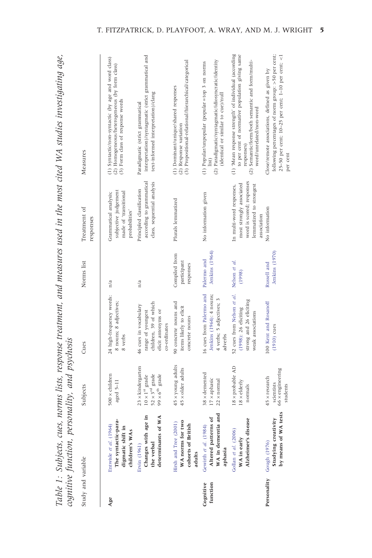|                       | cognitive function, personality, and psychosis                                       |                                                                                                                        |                                                                                                           |                                           |                                                                                                                             |                                                                                                                                                                                                      |
|-----------------------|--------------------------------------------------------------------------------------|------------------------------------------------------------------------------------------------------------------------|-----------------------------------------------------------------------------------------------------------|-------------------------------------------|-----------------------------------------------------------------------------------------------------------------------------|------------------------------------------------------------------------------------------------------------------------------------------------------------------------------------------------------|
| Study and variable    |                                                                                      | Subjects                                                                                                               | Cues                                                                                                      | Norms list                                | Treatment of<br>responses                                                                                                   | Measures                                                                                                                                                                                             |
| Age                   | The syntactic-para-<br>Entwisle et al. (1964)<br>digmatic shift in<br>children's WAs | $500 \times children$<br>aged 5-11                                                                                     | 24 high-frequency words:<br>8 nouns; 8 adjectives;<br>8 verbs                                             | n/a                                       | subjective judgement<br>made of 'transitional<br>Grammatical analysis;<br>probabilities'                                    | (1) Syntactic/non-syntactic (by age and word class)<br>(2) Homogeneous/heterogeneous (by form class) $(3)$ Form class of response words                                                              |
|                       | Changes with age in<br>determinants of WA<br>the verbal<br>Ervin (1961)              | $23 \times$ kindergarten<br>$52 \times 3rd$ grade<br>99 × 6 <sup>th</sup> grade<br>grade<br>$10\times1^{\rm st}$ grade | children, 39 of which<br>46 cues in vocabulary<br>range of youngest<br>elicit antonyms or<br>co-ordinates | n/a                                       | according to grammatical<br>class, sequential analysis<br>Principled classification                                         | interpretation)/syntagmatic (strict grammatical and<br>text-informed interpretation)/clang<br>Paradigmatic (strict grammatical                                                                       |
|                       | WA norms for two<br>Hirsh and Tree (2001)<br>cohorts of British<br>adults            | $45 \times$ young adults<br>$45 \times$ older adults                                                                   | 90 concrete nouns and<br>items likely to elicit<br>concrete nouns                                         | Compiled from<br>participant<br>responses | Plurals lemmatized                                                                                                          | (2) Response variation<br>$(3)$ Propositional-relational/hierarchical/categorical<br>$(3)$ Propositional-relational/hierarchical/categorical<br>(1) Dominant/unique/shared responses                 |
| Cognitive<br>function | WA in dementia and<br>Altered patterns of<br>Gewirth et al. (1984)<br>aphasia        | $38 \times$ demented<br>$17 \times$ aphasic<br>$22 \times$ normal                                                      | 16 cues from Palermo and<br>Jenkins (1964): 4 nouns;<br>4 verbs; 5 adjectives; 3<br>adverbs               | Jenkins (1964)<br>Palermo and             | No information given                                                                                                        | (2) Paradigmatic/syntagmatic/idiosyncratic/identity<br>(1) Popular/unpopular (popular = top 3 on norms<br>(identical or similar to cue)/null                                                         |
|                       | Alzheimer's disease<br>Gollan et al. (2006)<br>WA in early                           | $18 \times$ probable AD<br>$18 \times$ elderly<br>normals                                                              | 52 cues from Nelson et al.<br>strong and 26 eliciting<br>(1998): 26 eliciting<br>weak associations        | Nelson et al.<br>(1998)                   | word is scored; responses<br>most strongly associated<br>lemmatized to strongest<br>In multi-word responses,<br>association | (1) 'Mean response strength' of individual (according<br>to per cent of normative population giving same<br>(2) Semantic/form/both semantic and form/multi-<br>word/unrelated/non-word<br>responses) |
|                       | by means of WA tests<br>Studying creativity<br>Personality Gough (1976)              | $66 \times$ engineering<br>$45 \times$ research<br>scientists<br>students                                              | 100 Kent and Rosanoff<br>$(1910)$ cues                                                                    | Jenkins (1970)<br>Russell and             | No information                                                                                                              | following percentages of norm group: >50 per cent;<br>$25-50$ per cent; $10-25$ per cent; $1-10$ per cent; <1<br>Close/remote associations, defined as given by<br>per cent                          |

<span id="page-4-0"></span>Table 1: Subjects, cues, norms lists, response treatment, and measures used in the most cited WA studies investigating age, Table 1: Subjects, cues, norms lists, response treatment, and measures used in the most cited WA studies investigating age,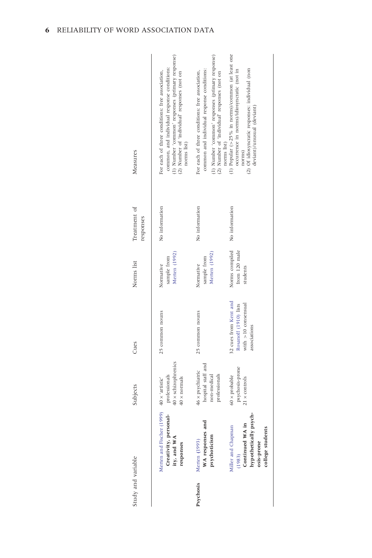| Study and variable |                                                                                                               | Subjects                                                               | Cues                                                                                    | Norms list                                  | Treatment of<br>responses | Measures                                                                                                                                                                                                          |
|--------------------|---------------------------------------------------------------------------------------------------------------|------------------------------------------------------------------------|-----------------------------------------------------------------------------------------|---------------------------------------------|---------------------------|-------------------------------------------------------------------------------------------------------------------------------------------------------------------------------------------------------------------|
|                    | Merten and Fischer (1999) 40 x 'artistic'<br>Creativity, personal-<br>ity, and WA<br>responses                | $40\times$ schizophrenics<br>professionals<br>$40 \times$ normals      | 25 common nouns                                                                         | Merten (1992)<br>sample from<br>Normative   | No information            | (1) Number 'common' responses (primary response)<br>common, and individual response conditions:<br>For each of three conditions: free association,<br>(2) Number of 'individual' responses (not on<br>norms list) |
| Psychosis          | WA responses and<br>psychoticism<br>Merten (1993)                                                             | hospital staff and<br>46 x psychiatric<br>non-medical<br>professionals | 25 common nouns                                                                         | Merten (1992)<br>sample from<br>Normative   | No information            | (1) Number 'common' responses (primary response)<br>common and individual response conditions:<br>For each of three conditions: free association,<br>(2) Number of 'individual' responses (not on<br>norms list)  |
|                    | psych-<br>Continued WA in<br>Miller and Chapman<br>college students<br>hypothetically<br>osis-prone<br>(1983) | psychosis-prone<br>$60 \times$ probable<br>$21 \times$ controls        | 32 cues from Kent and<br>with $>10$ consensual<br>Rosanoff (1910) lists<br>associations | Norms compiled<br>from 120 male<br>students | No information            | (1) Popular (>25% in norms)/common (at least one<br>(2) Of idiosyncratic responses: individual (non<br>occurrence in norms)/idiosyncratic (not in<br>deviant)/unusual (deviant)<br>norms)                         |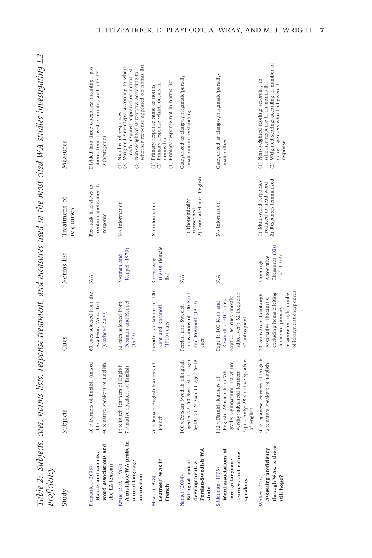<span id="page-6-0"></span>

| proficiency                                                                                    |                                                                                                                                                                                      |                                                                                                                                                             |                                                             |                                                                            | Table 2: Subjects, cues, norms lists, response treatment, and measures used in the most cited WA studies investigating L2                                                                              |
|------------------------------------------------------------------------------------------------|--------------------------------------------------------------------------------------------------------------------------------------------------------------------------------------|-------------------------------------------------------------------------------------------------------------------------------------------------------------|-------------------------------------------------------------|----------------------------------------------------------------------------|--------------------------------------------------------------------------------------------------------------------------------------------------------------------------------------------------------|
| Study                                                                                          | Subjects                                                                                                                                                                             | Cues                                                                                                                                                        | Norms list                                                  | Treatment of<br>responses                                                  | Measures                                                                                                                                                                                               |
| word associations and<br>Habits and rabbits:<br>the L2 lexicon<br>Fitzpatrick (2006)           | 40 x learners of English (mixed<br>native speakers of English<br>$\Xi$<br>$40\times$                                                                                                 | 60 cues selected from the<br>Academic Word List<br>(Coxhead 2000)                                                                                           | N/A                                                         | confirm motivation for<br>Post-task interviews to<br>response              | Divided into three categories: meaning-, pos-<br>ition-, form-based or erratic, and into 17<br>subcategories                                                                                           |
| A multiple WA probe in<br>second language<br>Kruse et al. (1987)<br>acquisition                | Dutch learners of English<br>7 x native speakers of English<br>$15 \times$                                                                                                           | Postman and Keppel<br>10 cues selected from<br>(1970)                                                                                                       | Keppel (1970)<br>Postman and                                | No information                                                             | whether response appeared on norms list<br>(1) Number of responses<br>(2) Weighted stereotypy: according to where<br>each response appeared on norms list<br>(3) Non-weighted stereotypy: according to |
| Learners' WAs in<br>Meara (1978)<br>French                                                     | 76 x female English learners of<br>French                                                                                                                                            | French translations of 100<br>Kent and Rosanoff<br>$(1910)$ cues                                                                                            | $(1970)$ (female<br>Rosenzweig<br>list)                     | No information                                                             | (3) Primary response not in norms list<br>(1) Primary response same as norms<br>(2) Primary response which occurs in<br>norms list                                                                     |
| Persian-Swedish WA<br><b>Bilingual lexical</b><br>development: a<br>Namei (2004)<br>study      | aged 6–22: 50 Swedish L1 aged 6–18: 50 Bandish L1 aged<br>100 x Persian-Swedish bilinguals<br>18; 50 Persian L1 aged 6-19                                                            | translations of 100 Kent<br>and Rosanoff (1910)<br>Persian and Swedish<br>cues                                                                              | N/A                                                         | 2) Translated into English<br>1) Phonemically<br>transcribed               | Categorized as clang/syntagmatic/paradig-<br>matic/misunderstanding                                                                                                                                    |
| Word associations of<br>learners and native<br>foreign language<br>Söderman (1993)<br>speakers | : 2 only: 28 x native speakers<br>grade; Gymnasium; 1st yr uni-<br>English: 28 each from 7th<br>versity; advanced learners<br>$112 \times$ Finnish learners of<br>of English<br>Expt | adjectives): 32 frequent;<br>Expt 2: 64 cues (mostly<br>Rosanoff (1910) cues<br>Expt 1: 100 Kent and<br>32 infrequent                                       | $\mathop{\rm N/A}\nolimits$                                 | No information                                                             | Categorized as clang/syntagmatic/paradig-<br>matic/other                                                                                                                                               |
| through WAs: is there<br>Assessing proficiency<br>Wolter (2002)<br>still hope?                 | 30 x Japanese learners of English<br>42 x native speakers of English                                                                                                                 | response or high number<br>of idiosyncratic responses<br>excluding items eliciting<br>20 verbs from Edinburgh<br>Associative Thesaurus,<br>dominant primary | Thesaurus (Kiss<br>Associative<br>et al. 1973)<br>Edinburgh | 2) Responses lemmatized<br>1) Multi-word responses<br>reduced to head word | (2) Weighted scoring: according to number of<br>(1) Non-weighted scoring: according to<br>native speakers who had given the<br>whether response is on norms list<br>response                           |
|                                                                                                |                                                                                                                                                                                      |                                                                                                                                                             |                                                             |                                                                            |                                                                                                                                                                                                        |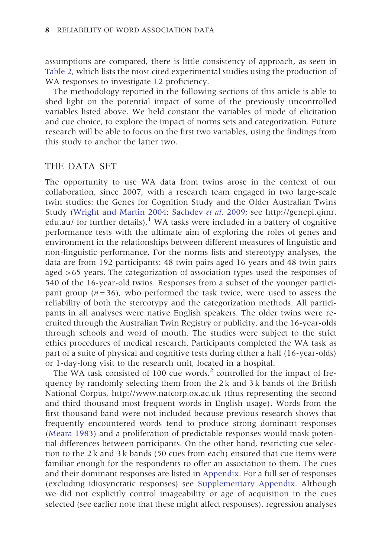assumptions are compared, there is little consistency of approach, as seen in [Table 2](#page-6-0), which lists the most cited experimental studies using the production of WA responses to investigate L2 proficiency.

The methodology reported in the following sections of this article is able to shed light on the potential impact of some of the previously uncontrolled variables listed above. We held constant the variables of mode of elicitation and cue choice, to explore the impact of norms sets and categorization. Future research will be able to focus on the first two variables, using the findings from this study to anchor the latter two.

#### THE DATA SET

The opportunity to use WA data from twins arose in the context of our collaboration, since 2007, with a research team engaged in two large-scale twin studies: the Genes for Cognition Study and the Older Australian Twins Study [\(Wright and Martin 2004](#page-27-0); [Sachdev](#page-27-0) et al. 2009; see [http://genepi.qimr.](http://genepi.qimr.edu.au/for) [edu.au/](http://genepi.qimr.edu.au/for) for further details).<sup>1</sup> WA tasks were included in a battery of cognitive performance tests with the ultimate aim of exploring the roles of genes and environment in the relationships between different measures of linguistic and non-linguistic performance. For the norms lists and stereotypy analyses, the data are from 192 participants: 48 twin pairs aged 16 years and 48 twin pairs aged >65 years. The categorization of association types used the responses of 540 of the 16-year-old twins. Responses from a subset of the younger participant group  $(n=36)$ , who performed the task twice, were used to assess the reliability of both the stereotypy and the categorization methods. All participants in all analyses were native English speakers. The older twins were recruited through the Australian Twin Registry or publicity, and the 16-year-olds through schools and word of mouth. The studies were subject to the strict ethics procedures of medical research. Participants completed the WA task as part of a suite of physical and cognitive tests during either a half (16-year-olds) or 1-day-long visit to the research unit, located in a hospital.

The WA task consisted of 100 cue words, $<sup>2</sup>$  controlled for the impact of fre-</sup> quency by randomly selecting them from the 2 k and 3 k bands of the British National Corpus,<http://www.natcorp.ox.ac.uk> (thus representing the second and third thousand most frequent words in English usage). Words from the first thousand band were not included because previous research shows that frequently encountered words tend to produce strong dominant responses ([Meara 1983](#page-26-0)) and a proliferation of predictable responses would mask potential differences between participants. On the other hand, restricting cue selection to the  $2k$  and  $3k$  bands (50 cues from each) ensured that cue items were familiar enough for the respondents to offer an association to them. The cues and their dominant responses are listed in [Appendix](#page-24-0). For a full set of responses (excluding idiosyncratic responses) see [Supplementary Appendix.](http://applij.oxfordjournals.org/cgi/content/full/amt020/DC1) Although we did not explicitly control imageability or age of acquisition in the cues selected (see earlier note that these might affect responses), regression analyses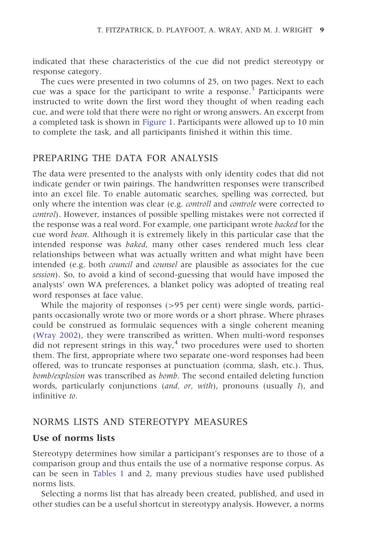indicated that these characteristics of the cue did not predict stereotypy or response category.

The cues were presented in two columns of 25, on two pages. Next to each cue was a space for the participant to write a response.<sup>3</sup> Participants were instructed to write down the first word they thought of when reading each cue, and were told that there were no right or wrong answers. An excerpt from a completed task is shown in [Figure 1.](#page-9-0) Participants were allowed up to 10 min to complete the task, and all participants finished it within this time.

#### PREPARING THE DATA FOR ANALYSIS

The data were presented to the analysts with only identity codes that did not indicate gender or twin pairings. The handwritten responses were transcribed into an excel file. To enable automatic searches, spelling was corrected, but only where the intention was clear (e.g. controll and controle were corrected to control). However, instances of possible spelling mistakes were not corrected if the response was a real word. For example, one participant wrote backed for the cue word bean. Although it is extremely likely in this particular case that the intended response was baked, many other cases rendered much less clear relationships between what was actually written and what might have been intended (e.g. both council and counsel are plausible as associates for the cue session). So, to avoid a kind of second-guessing that would have imposed the analysts' own WA preferences, a blanket policy was adopted of treating real word responses at face value.

While the majority of responses  $(>95$  per cent) were single words, participants occasionally wrote two or more words or a short phrase. Where phrases could be construed as formulaic sequences with a single coherent meaning ([Wray 2002\)](#page-27-0), they were transcribed as written. When multi-word responses did not represent strings in this way, $4$  two procedures were used to shorten them. The first, appropriate where two separate one-word responses had been offered, was to truncate responses at punctuation (comma, slash, etc.). Thus, bomb/explosion was transcribed as bomb. The second entailed deleting function words, particularly conjunctions (and, or, with), pronouns (usually I), and infinitive to.

#### NORMS LISTS AND STEREOTYPY MEASURES

#### Use of norms lists

Stereotypy determines how similar a participant's responses are to those of a comparison group and thus entails the use of a normative response corpus. As can be seen in [Tables 1](#page-4-0) and [2,](#page-6-0) many previous studies have used published norms lists.

Selecting a norms list that has already been created, published, and used in other studies can be a useful shortcut in stereotypy analysis. However, a norms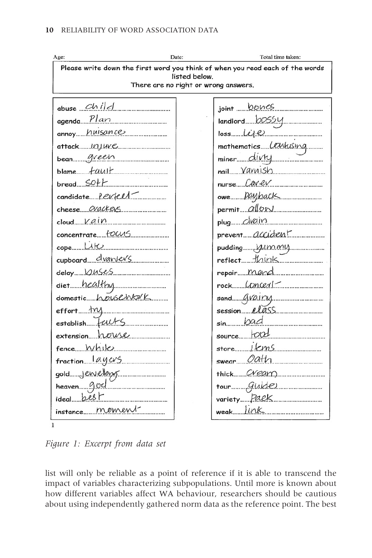<span id="page-9-0"></span>Total time taken: Date: A oe-Please write down the first word you think of when you read each of the words listed below. There are no right or wrong answers. obuse Child joint bones  $q$ qqenda  $Plan$  $landord$   $60554$ annoy huisance  $loss_{\dots}$   $(18)$ mathematics *Learlysing*  $miner$  divty  $\sim$ bean green  $blame$   $tau$ ngil Varnish  $bread$   $SO+F$  $nurre$   $CaveV$ candidate *Perfect*owe paypack  $permit$  allow cheese crackers  $pluq_{\dots}$  divain  $cloud$   $Vain$ concentrate focus prevent accident  $\frac{L}{L}$  $pudding_{\dots}, MMDMM_{\dots}$ cupboard clyanters reflect think  $delay. 1045e5$  $repair$   $mod$   $m$  $di$ <sub>et  $hel$ </sub> $heal$  $t<sub>M</sub>$ rock Concertdomestic house htd K sand  $q$ vainy  $session$   $\ell$ lass  $sin$ <sub>p</sub>  $bad$  $establish$   $turb5$ source  $\text{1001}$ extension house fence While store  $ikms$  $swear$  Oath  $fraction$   $10400$ gold *enjenieless* thick Cream  $four...$   $Gude)$ heaven  $904$ ideal best variety Paek moment weak link instance......

Figure 1: Excerpt from data set

list will only be reliable as a point of reference if it is able to transcend the impact of variables characterizing subpopulations. Until more is known about how different variables affect WA behaviour, researchers should be cautious about using independently gathered norm data as the reference point. The best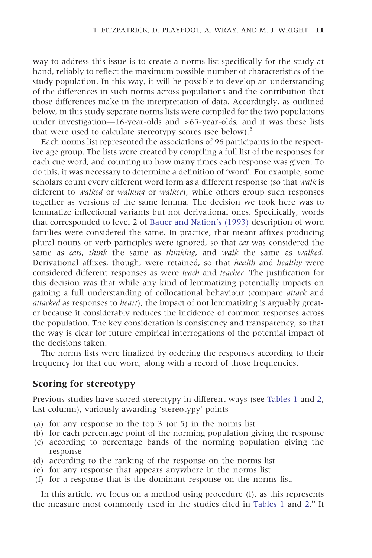way to address this issue is to create a norms list specifically for the study at hand, reliably to reflect the maximum possible number of characteristics of the study population. In this way, it will be possible to develop an understanding of the differences in such norms across populations and the contribution that those differences make in the interpretation of data. Accordingly, as outlined below, in this study separate norms lists were compiled for the two populations under investigation—16-year-olds and  $>65$ -year-olds, and it was these lists that were used to calculate stereotypy scores (see below).<sup>5</sup>

Each norms list represented the associations of 96 participants in the respective age group. The lists were created by compiling a full list of the responses for each cue word, and counting up how many times each response was given. To do this, it was necessary to determine a definition of 'word'. For example, some scholars count every different word form as a different response (so that walk is different to walked or walking or walker), while others group such responses together as versions of the same lemma. The decision we took here was to lemmatize inflectional variants but not derivational ones. Specifically, words that corresponded to level 2 of [Bauer and Nation's \(1993\)](#page-25-0) description of word families were considered the same. In practice, that meant affixes producing plural nouns or verb participles were ignored, so that cat was considered the same as cats, think the same as thinking, and walk the same as walked. Derivational affixes, though, were retained, so that health and healthy were considered different responses as were teach and teacher. The justification for this decision was that while any kind of lemmatizing potentially impacts on gaining a full understanding of collocational behaviour (compare attack and attacked as responses to heart), the impact of not lemmatizing is arguably greater because it considerably reduces the incidence of common responses across the population. The key consideration is consistency and transparency, so that the way is clear for future empirical interrogations of the potential impact of the decisions taken.

The norms lists were finalized by ordering the responses according to their frequency for that cue word, along with a record of those frequencies.

#### Scoring for stereotypy

Previous studies have scored stereotypy in different ways (see [Tables 1](#page-4-0) and [2,](#page-6-0) last column), variously awarding 'stereotypy' points

- (a) for any response in the top 3 (or 5) in the norms list
- (b) for each percentage point of the norming population giving the response
- (c) according to percentage bands of the norming population giving the response
- (d) according to the ranking of the response on the norms list
- (e) for any response that appears anywhere in the norms list
- (f) for a response that is the dominant response on the norms list.

In this article, we focus on a method using procedure (f), as this represents the measure most commonly used in the studies cited in [Tables 1](#page-4-0) and [2](#page-6-0).<sup>6</sup> It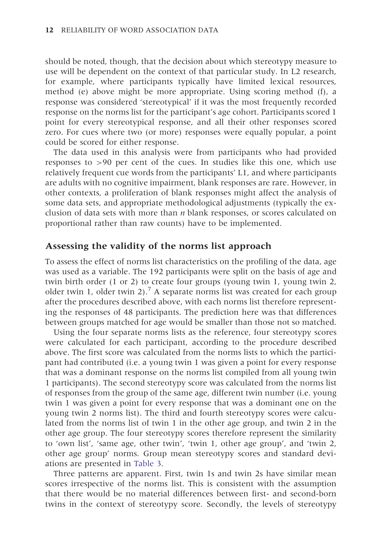should be noted, though, that the decision about which stereotypy measure to use will be dependent on the context of that particular study. In L2 research, for example, where participants typically have limited lexical resources, method (e) above might be more appropriate. Using scoring method (f), a response was considered 'stereotypical' if it was the most frequently recorded response on the norms list for the participant's age cohort. Participants scored 1 point for every stereotypical response, and all their other responses scored zero. For cues where two (or more) responses were equally popular, a point could be scored for either response.

The data used in this analysis were from participants who had provided responses to >90 per cent of the cues. In studies like this one, which use relatively frequent cue words from the participants' L1, and where participants are adults with no cognitive impairment, blank responses are rare. However, in other contexts, a proliferation of blank responses might affect the analysis of some data sets, and appropriate methodological adjustments (typically the exclusion of data sets with more than  $n$  blank responses, or scores calculated on proportional rather than raw counts) have to be implemented.

# Assessing the validity of the norms list approach

To assess the effect of norms list characteristics on the profiling of the data, age was used as a variable. The 192 participants were split on the basis of age and twin birth order (1 or 2) to create four groups (young twin 1, young twin 2, older twin 1, older twin 2).<sup>7</sup> A separate norms list was created for each group after the procedures described above, with each norms list therefore representing the responses of 48 participants. The prediction here was that differences between groups matched for age would be smaller than those not so matched.

Using the four separate norms lists as the reference, four stereotypy scores were calculated for each participant, according to the procedure described above. The first score was calculated from the norms lists to which the participant had contributed (i.e. a young twin 1 was given a point for every response that was a dominant response on the norms list compiled from all young twin 1 participants). The second stereotypy score was calculated from the norms list of responses from the group of the same age, different twin number (i.e. young twin 1 was given a point for every response that was a dominant one on the young twin 2 norms list). The third and fourth stereotypy scores were calculated from the norms list of twin 1 in the other age group, and twin 2 in the other age group. The four stereotypy scores therefore represent the similarity to 'own list', 'same age, other twin', 'twin 1, other age group', and 'twin 2, other age group' norms. Group mean stereotypy scores and standard deviations are presented in [Table 3.](#page-12-0)

Three patterns are apparent. First, twin 1s and twin 2s have similar mean scores irrespective of the norms list. This is consistent with the assumption that there would be no material differences between first- and second-born twins in the context of stereotypy score. Secondly, the levels of stereotypy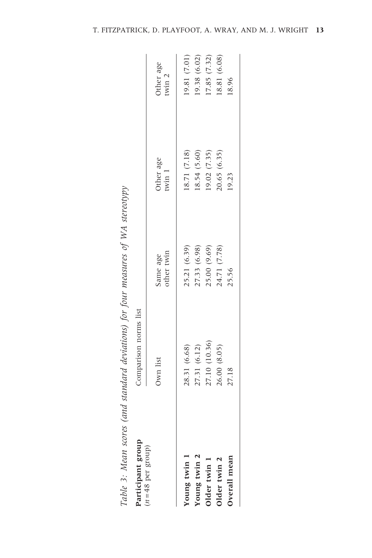<span id="page-12-0"></span>

| Table 3: Mean scores | (and standard deviations) for four measures of WA stereotypy |                        |                     |                         |
|----------------------|--------------------------------------------------------------|------------------------|---------------------|-------------------------|
| Participant group    | Comparison norms list                                        |                        |                     |                         |
| $(n=48$ per group)   | Own list                                                     | Same age<br>other twin | Other age<br>twin 1 | Other age<br>twin $2\,$ |
| Young twin 1         | 28.31 (6.68)                                                 | 25.21 (6.39)           | 18.71 (7.18)        | (10.7) 18.61            |
| Young twin 2         | 27.31 (6.12)                                                 | 27.33 (6.98)           | 18.54 (5.60)        | 19.38 (6.02)            |
| Older twin 1         | 27.10 (10.36)                                                | 25.00 (9.69)           | 19.02 (7.35)        | 17.85 (7.32)            |

**Older twin 1**  $27.10, 36(9.69)$   $25.00(9.69)$   $25.00(9.69)$   $27.10(10.36)$ **Older twin 2** 26.00 (8.05) 24.71 (7.78) 24.71 (7.78) 20.65 (6.35) 18.81 (6.08) Overall mean  $27.18$   $25.56$   $29.23$   $19.23$ 

24.71 (7.78) 25.56

26.00 (8.05) 27.18

Overall mean Older twin 2 Older twin 1

| l<br>$\frac{1}{2}$              |
|---------------------------------|
|                                 |
| ・ノミークフリクチャー データクサーチクト           |
|                                 |
|                                 |
|                                 |
|                                 |
|                                 |
|                                 |
|                                 |
| デフィン アッチフー コクそうりつ タチク<br>טט וטט |
|                                 |
|                                 |
| ¢<br>ì<br>ך<br>ר<br>$\vec{a}$   |

18.81 (6.08) 18.96

 $20.65(6.35)$ 19.23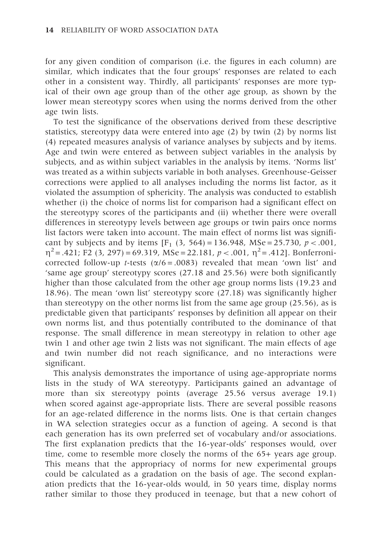for any given condition of comparison (i.e. the figures in each column) are similar, which indicates that the four groups' responses are related to each other in a consistent way. Thirdly, all participants' responses are more typical of their own age group than of the other age group, as shown by the lower mean stereotypy scores when using the norms derived from the other age twin lists.

To test the significance of the observations derived from these descriptive statistics, stereotypy data were entered into age (2) by twin (2) by norms list (4) repeated measures analysis of variance analyses by subjects and by items. Age and twin were entered as between subject variables in the analysis by subjects, and as within subject variables in the analysis by items. 'Norms list' was treated as a within subjects variable in both analyses. Greenhouse-Geisser corrections were applied to all analyses including the norms list factor, as it violated the assumption of sphericity. The analysis was conducted to establish whether (i) the choice of norms list for comparison had a significant effect on the stereotypy scores of the participants and (ii) whether there were overall differences in stereotypy levels between age groups or twin pairs once norms list factors were taken into account. The main effect of norms list was significant by subjects and by items  $[F_1 (3, 564) = 136.948$ , MSe = 25.730,  $p < .001$ ,  $\eta^2 = .421$ ; F2 (3, 297) = 69.319, MSe = 22.181, p < .001,  $\eta^2 = .412$ ]. Bonferronicorrected follow-up *t*-tests ( $\alpha/6 = .0083$ ) revealed that mean 'own list' and 'same age group' stereotypy scores (27.18 and 25.56) were both significantly higher than those calculated from the other age group norms lists (19.23 and 18.96). The mean 'own list' stereotypy score (27.18) was significantly higher than stereotypy on the other norms list from the same age group (25.56), as is predictable given that participants' responses by definition all appear on their own norms list, and thus potentially contributed to the dominance of that response. The small difference in mean stereotypy in relation to other age twin 1 and other age twin 2 lists was not significant. The main effects of age and twin number did not reach significance, and no interactions were significant.

This analysis demonstrates the importance of using age-appropriate norms lists in the study of WA stereotypy. Participants gained an advantage of more than six stereotypy points (average 25.56 versus average 19.1) when scored against age-appropriate lists. There are several possible reasons for an age-related difference in the norms lists. One is that certain changes in WA selection strategies occur as a function of ageing. A second is that each generation has its own preferred set of vocabulary and/or associations. The first explanation predicts that the 16-year-olds' responses would, over time, come to resemble more closely the norms of the 65+ years age group. This means that the appropriacy of norms for new experimental groups could be calculated as a gradation on the basis of age. The second explanation predicts that the 16-year-olds would, in 50 years time, display norms rather similar to those they produced in teenage, but that a new cohort of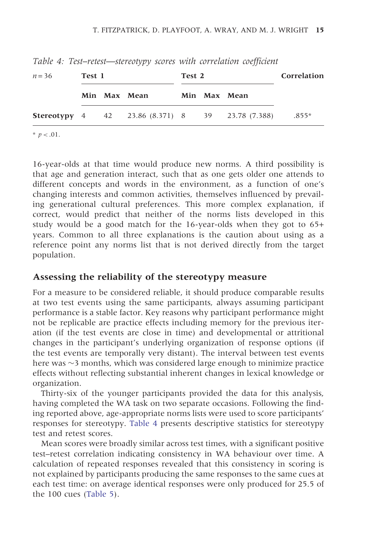| $n = 36$ | Test 1 |  |                                                         | Test 2 |  |              | Correlation |
|----------|--------|--|---------------------------------------------------------|--------|--|--------------|-------------|
|          |        |  | Min Max Mean                                            |        |  | Min Max Mean |             |
|          |        |  | <b>Stereotypy</b> 4 42 23.86 (8.371) 8 39 23.78 (7.388) |        |  |              | $0.855*$    |

Table 4: Test–retest—stereotypy scores with correlation coefficient

\*  $p < .01$ .

16-year-olds at that time would produce new norms. A third possibility is that age and generation interact, such that as one gets older one attends to different concepts and words in the environment, as a function of one's changing interests and common activities, themselves influenced by prevailing generational cultural preferences. This more complex explanation, if correct, would predict that neither of the norms lists developed in this study would be a good match for the 16-year-olds when they got to 65+ years. Common to all three explanations is the caution about using as a reference point any norms list that is not derived directly from the target population.

#### Assessing the reliability of the stereotypy measure

For a measure to be considered reliable, it should produce comparable results at two test events using the same participants, always assuming participant performance is a stable factor. Key reasons why participant performance might not be replicable are practice effects including memory for the previous iteration (if the test events are close in time) and developmental or attritional changes in the participant's underlying organization of response options (if the test events are temporally very distant). The interval between test events here was  $\sim$ 3 months, which was considered large enough to minimize practice effects without reflecting substantial inherent changes in lexical knowledge or organization.

Thirty-six of the younger participants provided the data for this analysis, having completed the WA task on two separate occasions. Following the finding reported above, age-appropriate norms lists were used to score participants' responses for stereotypy. Table 4 presents descriptive statistics for stereotypy test and retest scores.

Mean scores were broadly similar across test times, with a significant positive test–retest correlation indicating consistency in WA behaviour over time. A calculation of repeated responses revealed that this consistency in scoring is not explained by participants producing the same responses to the same cues at each test time: on average identical responses were only produced for 25.5 of the 100 cues ([Table 5](#page-15-0)).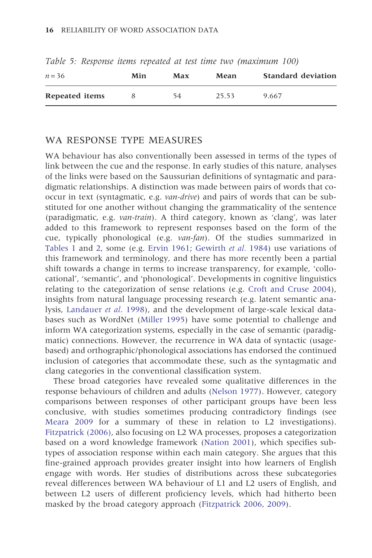| $n = 36$       | Min | Max | Mean  | <b>Standard deviation</b> |
|----------------|-----|-----|-------|---------------------------|
| Repeated items | 8   | 54  | 25.53 | 9.667                     |

<span id="page-15-0"></span>Table 5: Response items repeated at test time two (maximum 100)

# WA RESPONSE TYPE MEASURES

WA behaviour has also conventionally been assessed in terms of the types of link between the cue and the response. In early studies of this nature, analyses of the links were based on the Saussurian definitions of syntagmatic and paradigmatic relationships. A distinction was made between pairs of words that cooccur in text (syntagmatic, e.g. van-drive) and pairs of words that can be substituted for one another without changing the grammaticality of the sentence (paradigmatic, e.g. van-train). A third category, known as 'clang', was later added to this framework to represent responses based on the form of the cue, typically phonological (e.g. van-fan). Of the studies summarized in [Tables 1](#page-4-0) and [2,](#page-6-0) some (e.g. [Ervin 1961;](#page-25-0) [Gewirth](#page-26-0) et al. 1984) use variations of this framework and terminology, and there has more recently been a partial shift towards a change in terms to increase transparency, for example, 'collocational', 'semantic', and 'phonological'. Developments in cognitive linguistics relating to the categorization of sense relations (e.g. [Croft and Cruse 2004\)](#page-25-0), insights from natural language processing research (e.g. latent semantic analysis, [Landauer](#page-26-0) et al. 1998), and the development of large-scale lexical databases such as WordNet [\(Miller 1995\)](#page-26-0) have some potential to challenge and inform WA categorization systems, especially in the case of semantic (paradigmatic) connections. However, the recurrence in WA data of syntactic (usagebased) and orthographic/phonological associations has endorsed the continued inclusion of categories that accommodate these, such as the syntagmatic and clang categories in the conventional classification system.

These broad categories have revealed some qualitative differences in the response behaviours of children and adults [\(Nelson 1977\)](#page-26-0). However, category comparisons between responses of other participant groups have been less conclusive, with studies sometimes producing contradictory findings (see [Meara 2009](#page-26-0) for a summary of these in relation to L2 investigations). [Fitzpatrick \(2006\)](#page-25-0), also focusing on L2 WA processes, proposes a categorization based on a word knowledge framework ([Nation 2001\)](#page-26-0), which specifies subtypes of association response within each main category. She argues that this fine-grained approach provides greater insight into how learners of English engage with words. Her studies of distributions across these subcategories reveal differences between WA behaviour of L1 and L2 users of English, and between L2 users of different proficiency levels, which had hitherto been masked by the broad category approach ([Fitzpatrick 2006,](#page-25-0) [2009\)](#page-26-0).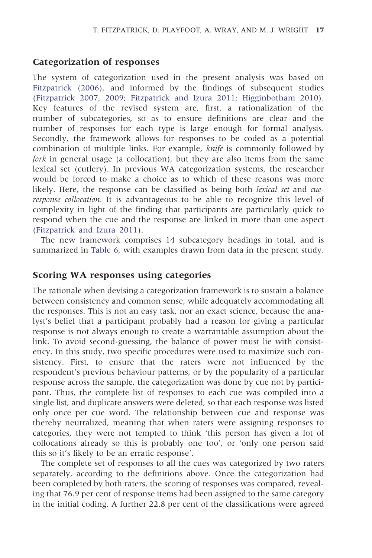#### Categorization of responses

The system of categorization used in the present analysis was based on [Fitzpatrick \(2006\),](#page-25-0) and informed by the findings of subsequent studies ([Fitzpatrick 2007,](#page-25-0) [2009](#page-26-0); [Fitzpatrick and Izura 2011](#page-26-0); [Higginbotham 2010\)](#page-26-0). Key features of the revised system are, first, a rationalization of the number of subcategories, so as to ensure definitions are clear and the number of responses for each type is large enough for formal analysis. Secondly, the framework allows for responses to be coded as a potential combination of multiple links. For example, knife is commonly followed by fork in general usage (a collocation), but they are also items from the same lexical set (cutlery). In previous WA categorization systems, the researcher would be forced to make a choice as to which of these reasons was more likely. Here, the response can be classified as being both *lexical set* and *cue*response collocation. It is advantageous to be able to recognize this level of complexity in light of the finding that participants are particularly quick to respond when the cue and the response are linked in more than one aspect ([Fitzpatrick and Izura 2011](#page-26-0)).

The new framework comprises 14 subcategory headings in total, and is summarized in [Table 6,](#page-17-0) with examples drawn from data in the present study.

#### Scoring WA responses using categories

The rationale when devising a categorization framework is to sustain a balance between consistency and common sense, while adequately accommodating all the responses. This is not an easy task, nor an exact science, because the analyst's belief that a participant probably had a reason for giving a particular response is not always enough to create a warrantable assumption about the link. To avoid second-guessing, the balance of power must lie with consistency. In this study, two specific procedures were used to maximize such consistency. First, to ensure that the raters were not influenced by the respondent's previous behaviour patterns, or by the popularity of a particular response across the sample, the categorization was done by cue not by participant. Thus, the complete list of responses to each cue was compiled into a single list, and duplicate answers were deleted, so that each response was listed only once per cue word. The relationship between cue and response was thereby neutralized, meaning that when raters were assigning responses to categories, they were not tempted to think 'this person has given a lot of collocations already so this is probably one too', or 'only one person said this so it's likely to be an erratic response'.

The complete set of responses to all the cues was categorized by two raters separately, according to the definitions above. Once the categorization had been completed by both raters, the scoring of responses was compared, revealing that 76.9 per cent of response items had been assigned to the same category in the initial coding. A further 22.8 per cent of the classifications were agreed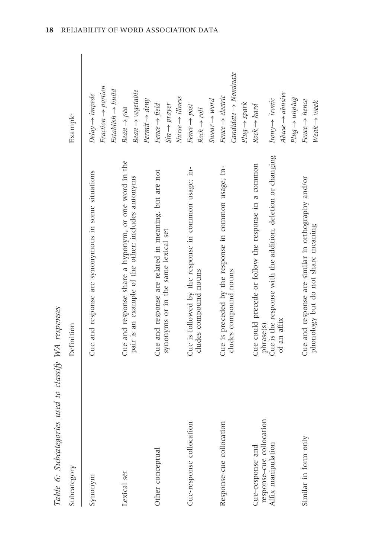<span id="page-17-0"></span>

| Table 6: Subcategories used to classify WA responses               |                                                                                                                                                 |                                                                                                                |
|--------------------------------------------------------------------|-------------------------------------------------------------------------------------------------------------------------------------------------|----------------------------------------------------------------------------------------------------------------|
| Subcategory                                                        | Definition                                                                                                                                      | Example                                                                                                        |
| Synonym                                                            | Cue and response are synonymous in some situations                                                                                              | $Fraction \rightarrow portion$<br>$Estability \rightarrow build$<br>$Delay \rightarrow impede$                 |
| Lexical set                                                        | Cue and response share a hyponym, or one word in the<br>pair is an example of the other; includes antonyms                                      | $Bean \rightarrow vegetable$<br>$Permit \rightarrow deny$<br>$Bean \rightarrow pea$                            |
| Other conceptual                                                   | Cue and response are related in meaning, but are not<br>synonyms or in the same lexical set                                                     | $Nurse \rightarrow iliness$<br>$Fence \rightarrow field$<br>$Sim \rightarrow proyer$                           |
| Cue-response collocation                                           | Cue is followed by the response in common usage; in-<br>cludes compound nouns                                                                   | $Swer \rightarrow word$<br>$Fence \rightarrow post$<br>$Rock \rightarrow roll$                                 |
| Response-cue collocation                                           | Cue is preceded by the response in common usage; in-<br>cludes compound nouns                                                                   | $\textit{Candidate} \rightarrow \textit{Nonimate}$<br>$Fence \rightarrow electric$<br>$Plug \rightarrow spark$ |
| response-cue collocation<br>Affix manipulation<br>Cue-response and | Cue is the response with the addition, deletion or changing<br>Cue could precede or follow the response in a common<br>of an affix<br>phrase(s) | $Abuse \rightarrow abusive$<br>$trony \rightarrow \text{ironic}$<br>$Rock \rightarrow hard$                    |
| Similar in form only                                               | Cue and response are similar in orthography and/or<br>phonology but do not share meaning                                                        | $Plug \rightarrow unplug$<br>$Fence \rightarrow hence$<br>$Weak \rightarrow week$                              |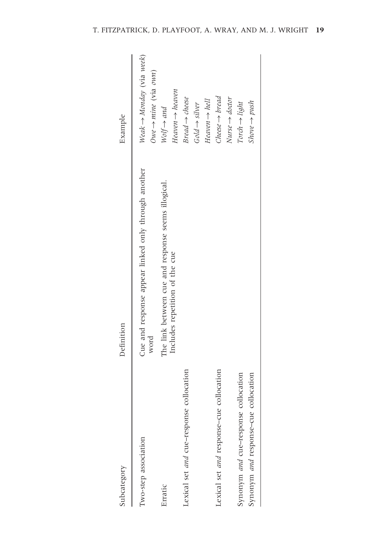| Subcategory                                     | Definition                                                                           | Example                                                                  |
|-------------------------------------------------|--------------------------------------------------------------------------------------|--------------------------------------------------------------------------|
| Two-step association                            | Cue and response appear linked only through another<br>word                          | $Weak \rightarrow Monday$ (via week)<br>Owe $\rightarrow$ mine (via own) |
| Erratic                                         | The link between cue and response seems illogical.<br>Includes repetition of the cue | $Heaven \rightarrow heaven$<br>$Wolf \rightarrow and$                    |
| Lexical set and cue-response collocation        |                                                                                      | $Bread \rightarrow cheese$<br>$Gold \rightarrow silver$                  |
| Lexical set <i>and</i> response-cue collocation |                                                                                      | $Theese \rightarrow bread$<br>$Hearen \rightarrow \textit{hell}$         |
| Synonym and cue-response collocation            |                                                                                      | $Nurse \rightarrow doctor$<br>$Torch \rightarrow light$                  |
| Synonym and response-cue collocation            |                                                                                      | $Show \rightarrow push$                                                  |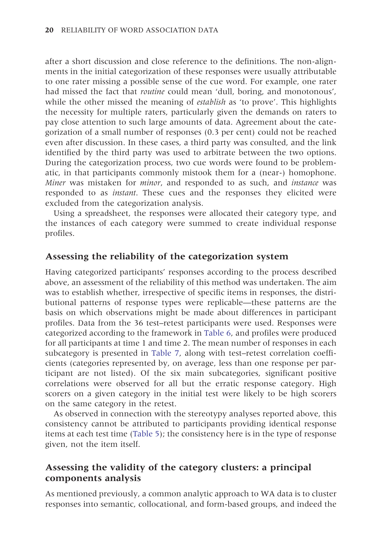after a short discussion and close reference to the definitions. The non-alignments in the initial categorization of these responses were usually attributable to one rater missing a possible sense of the cue word. For example, one rater had missed the fact that routine could mean 'dull, boring, and monotonous', while the other missed the meaning of *establish* as 'to prove'. This highlights the necessity for multiple raters, particularly given the demands on raters to pay close attention to such large amounts of data. Agreement about the categorization of a small number of responses (0.3 per cent) could not be reached even after discussion. In these cases, a third party was consulted, and the link identified by the third party was used to arbitrate between the two options. During the categorization process, two cue words were found to be problematic, in that participants commonly mistook them for a (near-) homophone. Miner was mistaken for *minor*, and responded to as such, and *instance* was responded to as instant. These cues and the responses they elicited were excluded from the categorization analysis.

Using a spreadsheet, the responses were allocated their category type, and the instances of each category were summed to create individual response profiles.

#### Assessing the reliability of the categorization system

Having categorized participants' responses according to the process described above, an assessment of the reliability of this method was undertaken. The aim was to establish whether, irrespective of specific items in responses, the distributional patterns of response types were replicable—these patterns are the basis on which observations might be made about differences in participant profiles. Data from the 36 test–retest participants were used. Responses were categorized according to the framework in [Table 6,](#page-17-0) and profiles were produced for all participants at time 1 and time 2. The mean number of responses in each subcategory is presented in [Table 7](#page-20-0), along with test–retest correlation coefficients (categories represented by, on average, less than one response per participant are not listed). Of the six main subcategories, significant positive correlations were observed for all but the erratic response category. High scorers on a given category in the initial test were likely to be high scorers on the same category in the retest.

As observed in connection with the stereotypy analyses reported above, this consistency cannot be attributed to participants providing identical response items at each test time [\(Table 5\)](#page-15-0); the consistency here is in the type of response given, not the item itself.

# Assessing the validity of the category clusters: a principal components analysis

As mentioned previously, a common analytic approach to WA data is to cluster responses into semantic, collocational, and form-based groups, and indeed the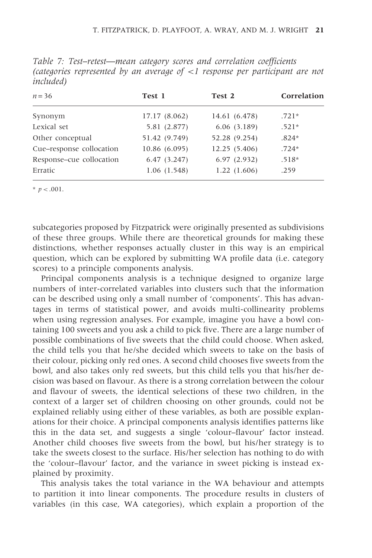| $n = 36$                 | Test 1        | Test 2        | Correlation |
|--------------------------|---------------|---------------|-------------|
| Synonym                  | 17.17 (8.062) | 14.61 (6.478) | $.721*$     |
| Lexical set              | 5.81 (2.877)  | 6.06(3.189)   | $.521*$     |
| Other conceptual         | 51.42 (9.749) | 52.28 (9.254) | $.824*$     |
| Cue-response collocation | 10.86 (6.095) | 12.25 (5.406) | $.724*$     |
| Response–cue collocation | 6.47(3.247)   | 6.97(2.932)   | $.518*$     |
| Erratic                  | 1.06(1.548)   | 1.22(1.606)   | .259        |

<span id="page-20-0"></span>Table 7: Test–retest—mean category scores and correlation coefficients (categories represented by an average of <1 response per participant are not included)

 $*$   $p < .001$ .

subcategories proposed by Fitzpatrick were originally presented as subdivisions of these three groups. While there are theoretical grounds for making these distinctions, whether responses actually cluster in this way is an empirical question, which can be explored by submitting WA profile data (i.e. category scores) to a principle components analysis.

Principal components analysis is a technique designed to organize large numbers of inter-correlated variables into clusters such that the information can be described using only a small number of 'components'. This has advantages in terms of statistical power, and avoids multi-collinearity problems when using regression analyses. For example, imagine you have a bowl containing 100 sweets and you ask a child to pick five. There are a large number of possible combinations of five sweets that the child could choose. When asked, the child tells you that he/she decided which sweets to take on the basis of their colour, picking only red ones. A second child chooses five sweets from the bowl, and also takes only red sweets, but this child tells you that his/her decision was based on flavour. As there is a strong correlation between the colour and flavour of sweets, the identical selections of these two children, in the context of a larger set of children choosing on other grounds, could not be explained reliably using either of these variables, as both are possible explanations for their choice. A principal components analysis identifies patterns like this in the data set, and suggests a single 'colour–flavour' factor instead. Another child chooses five sweets from the bowl, but his/her strategy is to take the sweets closest to the surface. His/her selection has nothing to do with the 'colour–flavour' factor, and the variance in sweet picking is instead explained by proximity.

This analysis takes the total variance in the WA behaviour and attempts to partition it into linear components. The procedure results in clusters of variables (in this case, WA categories), which explain a proportion of the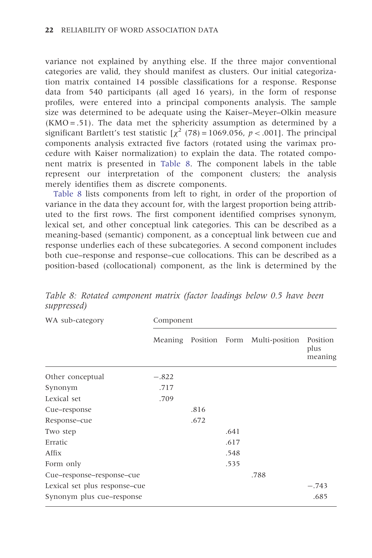variance not explained by anything else. If the three major conventional categories are valid, they should manifest as clusters. Our initial categorization matrix contained 14 possible classifications for a response. Response data from 540 participants (all aged 16 years), in the form of response profiles, were entered into a principal components analysis. The sample size was determined to be adequate using the Kaiser–Meyer–Olkin measure  $(KMO = .51)$ . The data met the sphericity assumption as determined by a significant Bartlett's test statistic  $\chi^2$  (78) = 1069.056, p < .001]. The principal components analysis extracted five factors (rotated using the varimax procedure with Kaiser normalization) to explain the data. The rotated component matrix is presented in Table 8. The component labels in the table represent our interpretation of the component clusters; the analysis merely identifies them as discrete components.

Table 8 lists components from left to right, in order of the proportion of variance in the data they account for, with the largest proportion being attributed to the first rows. The first component identified comprises synonym, lexical set, and other conceptual link categories. This can be described as a meaning-based (semantic) component, as a conceptual link between cue and response underlies each of these subcategories. A second component includes both cue–response and response–cue collocations. This can be described as a position-based (collocational) component, as the link is determined by the

| WA sub-category               | Component |          |      |                |                             |  |  |
|-------------------------------|-----------|----------|------|----------------|-----------------------------|--|--|
|                               | Meaning   | Position | Form | Multi-position | Position<br>plus<br>meaning |  |  |
| Other conceptual              | $-.822$   |          |      |                |                             |  |  |
| Synonym                       | .717      |          |      |                |                             |  |  |
| Lexical set                   | .709      |          |      |                |                             |  |  |
| Cue–response                  |           | .816     |      |                |                             |  |  |
| Response–cue                  |           | .672     |      |                |                             |  |  |
| Two step                      |           |          | .641 |                |                             |  |  |
| Erratic                       |           |          | .617 |                |                             |  |  |
| Affix                         |           |          | .548 |                |                             |  |  |
| Form only                     |           |          | .535 |                |                             |  |  |
| Cue-response-response-cue     |           |          |      | .788           |                             |  |  |
| Lexical set plus response–cue |           |          |      |                | $-.743$                     |  |  |
| Synonym plus cue–response     |           |          |      |                | .685                        |  |  |

Table 8: Rotated component matrix (factor loadings below 0.5 have been suppressed)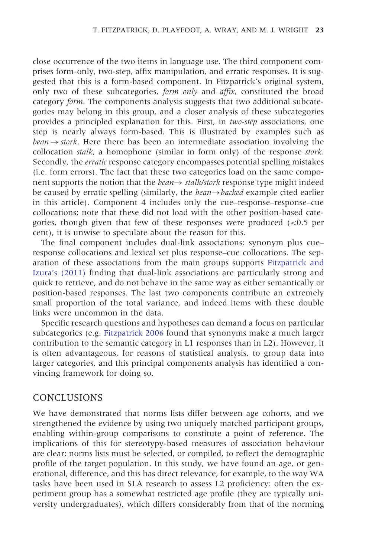close occurrence of the two items in language use. The third component comprises form-only, two-step, affix manipulation, and erratic responses. It is suggested that this is a form-based component. In Fitzpatrick's original system, only two of these subcategories, form only and affix, constituted the broad category form. The components analysis suggests that two additional subcategories may belong in this group, and a closer analysis of these subcategories provides a principled explanation for this. First, in two-step associations, one step is nearly always form-based. This is illustrated by examples such as bean  $\rightarrow$  stork. Here there has been an intermediate association involving the collocation stalk, a homophone (similar in form only) of the response stork. Secondly, the erratic response category encompasses potential spelling mistakes (i.e. form errors). The fact that these two categories load on the same component supports the notion that the *bean* $\rightarrow$  *stalk/stork* response type might indeed be caused by erratic spelling (similarly, the *bean* $\rightarrow$ *backed* example cited earlier in this article). Component 4 includes only the cue–response–response–cue collocations; note that these did not load with the other position-based categories, though given that few of these responses were produced  $\langle$ <0.5 per cent), it is unwise to speculate about the reason for this.

The final component includes dual-link associations: synonym plus cue– response collocations and lexical set plus response–cue collocations. The separation of these associations from the main groups supports [Fitzpatrick and](#page-26-0) [Izura's \(2011\)](#page-26-0) finding that dual-link associations are particularly strong and quick to retrieve, and do not behave in the same way as either semantically or position-based responses. The last two components contribute an extremely small proportion of the total variance, and indeed items with these double links were uncommon in the data.

Specific research questions and hypotheses can demand a focus on particular subcategories (e.g. [Fitzpatrick 2006](#page-25-0) found that synonyms make a much larger contribution to the semantic category in L1 responses than in L2). However, it is often advantageous, for reasons of statistical analysis, to group data into larger categories, and this principal components analysis has identified a convincing framework for doing so.

#### CONCLUSIONS

We have demonstrated that norms lists differ between age cohorts, and we strengthened the evidence by using two uniquely matched participant groups, enabling within-group comparisons to constitute a point of reference. The implications of this for stereotypy-based measures of association behaviour are clear: norms lists must be selected, or compiled, to reflect the demographic profile of the target population. In this study, we have found an age, or generational, difference, and this has direct relevance, for example, to the way WA tasks have been used in SLA research to assess L2 proficiency: often the experiment group has a somewhat restricted age profile (they are typically university undergraduates), which differs considerably from that of the norming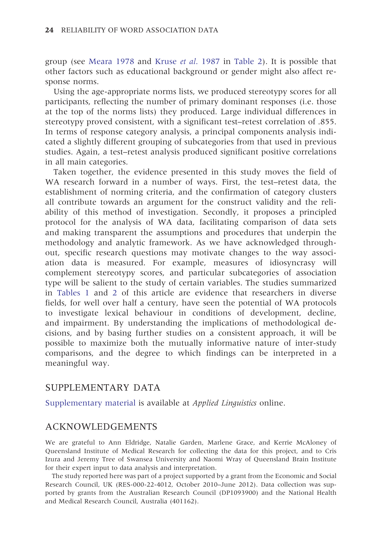group (see [Meara 1978](#page-26-0) and Kruse et al[. 1987](#page-26-0) in [Table 2\)](#page-6-0). It is possible that other factors such as educational background or gender might also affect response norms.

Using the age-appropriate norms lists, we produced stereotypy scores for all participants, reflecting the number of primary dominant responses (i.e. those at the top of the norms lists) they produced. Large individual differences in stereotypy proved consistent, with a significant test–retest correlation of .855. In terms of response category analysis, a principal components analysis indicated a slightly different grouping of subcategories from that used in previous studies. Again, a test–retest analysis produced significant positive correlations in all main categories.

Taken together, the evidence presented in this study moves the field of WA research forward in a number of ways. First, the test–retest data, the establishment of norming criteria, and the confirmation of category clusters all contribute towards an argument for the construct validity and the reliability of this method of investigation. Secondly, it proposes a principled protocol for the analysis of WA data, facilitating comparison of data sets and making transparent the assumptions and procedures that underpin the methodology and analytic framework. As we have acknowledged throughout, specific research questions may motivate changes to the way association data is measured. For example, measures of idiosyncrasy will complement stereotypy scores, and particular subcategories of association type will be salient to the study of certain variables. The studies summarized in [Tables 1](#page-4-0) and [2](#page-6-0) of this article are evidence that researchers in diverse fields, for well over half a century, have seen the potential of WA protocols to investigate lexical behaviour in conditions of development, decline, and impairment. By understanding the implications of methodological decisions, and by basing further studies on a consistent approach, it will be possible to maximize both the mutually informative nature of inter-study comparisons, and the degree to which findings can be interpreted in a meaningful way.

# SUPPLEMENTARY DATA

[Supplementary material](http://applij.oxfordjournals.org/cgi/content/full/amt020/DC1) is available at Applied Linguistics online.

### ACKNOWLEDGEMENTS

We are grateful to Ann Eldridge, Natalie Garden, Marlene Grace, and Kerrie McAloney of Queensland Institute of Medical Research for collecting the data for this project, and to Cris Izura and Jeremy Tree of Swansea University and Naomi Wray of Queensland Brain Institute for their expert input to data analysis and interpretation.

The study reported here was part of a project supported by a grant from the Economic and Social Research Council, UK (RES-000-22-4012, October 2010–June 2012). Data collection was supported by grants from the Australian Research Council (DP1093900) and the National Health and Medical Research Council, Australia (401162).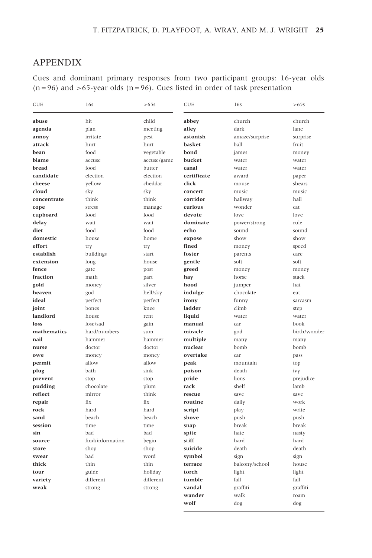# <span id="page-24-0"></span>APPENDIX

Cues and dominant primary responses from two participant groups: 16-year olds  $(n = 96)$  and  $> 65$ -year olds  $(n = 96)$ . Cues listed in order of task presentation

| <b>CUE</b>  | 16s              | >65s        | <b>CUE</b>  | 16s            | >65s         |
|-------------|------------------|-------------|-------------|----------------|--------------|
| abuse       | hit              | child       | abbey       | church         | church       |
| agenda      | plan             | meeting     | alley       | dark           | lane         |
| annoy       | irritate         | pest        | astonish    | amaze/surprise | surprise     |
| attack      | hurt             | hurt        | basket      | ball           | fruit        |
| bean        | food             | vegetable   | bond        | james          | money        |
| blame       | accuse           | accuse/game | bucket      | water          | water        |
| bread       | food             | butter      | canal       | water          | water        |
| candidate   | election         | election    | certificate | award          | paper        |
| cheese      | vellow           | cheddar     | click       | mouse          | shears       |
| cloud       | sky              | sky         | concert     | music          | music        |
| concentrate | think            | think       | corridor    | hallway        | hall         |
| cope        | stress           | manage      | curious     | wonder         | cat          |
| cupboard    | food             | food        | devote      | love           | love         |
| delay       | wait             | wait        | dominate    | power/strong   | rule         |
| diet        | food             | food        | echo        | sound          | sound        |
| domestic    | house            | home        | expose      | show           | show         |
| effort.     | try              | try         | fined       | money          | speed        |
| establish   | buildings        | start       | foster      | parents        | care         |
| extension   | long             | house       | gentle      | soft           | soft         |
| fence       | gate             | post        | greed       | money          | money        |
| fraction    | math             | part        | hay         | horse          | stack        |
| gold        | money            | silver      | hood        | jumper         | hat          |
| heaven      | god              | hell/sky    | indulge     | chocolate      | eat          |
| ideal       | perfect          | perfect     | irony       | funny          | sarcasm      |
| joint       | bones            | knee        | ladder      | climb          | step         |
| landlord    | house            | rent        | liquid      | water          | water        |
| loss        | lose/sad         | gain        | manual      | car            | book         |
| mathematics | hard/numbers     | sum         | miracle     | god            | birth/wonder |
| nail        | hammer           | hammer      | multiple    | many           | many         |
| nurse       | doctor           | doctor      | nuclear     | bomb           | bomb         |
| owe         | money            | money       | overtake    | car            | pass         |
| permit      | allow            | allow       | peak        | mountain       | top          |
| plug        | bath             | sink        | poison      | death          | ivy          |
| prevent     | stop             | stop        | pride       | lions          | prejudice    |
| pudding     | chocolate        | plum        | rack        | shelf          | lamb         |
| reflect     | mirror           | think       | rescue      | save           | save         |
| repair      | fix              | fix         | routine     | daily          | work         |
| rock        | hard             | hard        | script      | play           | write        |
| sand        | beach            | beach       | shove       | push           | push         |
| session     | time             | time        | snap        | break          | break        |
| sin         | bad              | bad         | spite       | hate           | nasty        |
| source      | find/information | begin       | stiff       | hard           | hard         |
| store       | shop             | shop        | suicide     | death          | death        |
| swear       | bad              | word        | symbol      | sign           | sign         |
| thick       | thin             | thin        | terrace     | balcony/school | house        |
| tour        | guide            | holiday     | torch       | light          | light        |
| variety     | different        | different   | tumble      | fall           | fall         |
| weak        | strong           | strong      | vandal      | graffiti       | graffiti     |
|             |                  |             | wander      | walk           | roam         |
|             |                  |             | wolf        | dog            | dog          |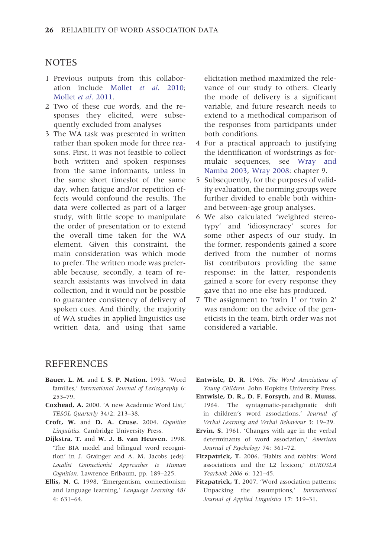#### <span id="page-25-0"></span>**NOTES**

- 1 Previous outputs from this collaboration include Mollet et al[. 2010;](#page-26-0) [Mollet](#page-26-0) et al. 2011.
- 2 Two of these cue words, and the responses they elicited, were subsequently excluded from analyses
- 3 The WA task was presented in written rather than spoken mode for three reasons. First, it was not feasible to collect both written and spoken responses from the same informants, unless in the same short timeslot of the same day, when fatigue and/or repetition effects would confound the results. The data were collected as part of a larger study, with little scope to manipulate the order of presentation or to extend the overall time taken for the WA element. Given this constraint, the main consideration was which mode to prefer. The written mode was preferable because, secondly, a team of research assistants was involved in data collection, and it would not be possible to guarantee consistency of delivery of spoken cues. And thirdly, the majority of WA studies in applied linguistics use written data, and using that same

elicitation method maximized the relevance of our study to others. Clearly the mode of delivery is a significant variable, and future research needs to extend to a methodical comparison of the responses from participants under both conditions.

- 4 For a practical approach to justifying the identification of wordstrings as formulaic sequences, see [Wray and](#page-27-0) [Namba 2003](#page-27-0), [Wray 2008](#page-27-0): chapter 9.
- 5 Subsequently, for the purposes of validity evaluation, the norming groups were further divided to enable both withinand between-age group analyses.
- 6 We also calculated 'weighted stereotypy' and 'idiosyncracy' scores for some other aspects of our study. In the former, respondents gained a score derived from the number of norms list contributors providing the same response; in the latter, respondents gained a score for every response they gave that no one else has produced.
- 7 The assignment to 'twin 1' or 'twin 2' was random: on the advice of the geneticists in the team, birth order was not considered a variable.

#### REFERENCES

- Bauer, L. M. and I. S. P. Nation. 1993. 'Word families,' International Journal of Lexicography 6: 253–79.
- Coxhead, A. 2000. 'A new Academic Word List,' TESOL Quarterly 34/2: 213–38.
- Croft, W. and D. A. Cruse. 2004. Cognitive Linguistics. Cambridge University Press.
- Dijkstra, T. and W. J. B. van Heuven. 1998. 'The BIA model and bilingual word recognition' in J. Grainger and A. M. Jacobs (eds): Localist Connectionist Approaches to Human Cognition. Lawrence Erlbaum, pp. 189–225.
- Ellis, N. C. 1998. 'Emergentism, connectionism and language learning,' Language Learning 48/ 4: 631–64.
- Entwisle, D. R. 1966. The Word Associations of Young Children. John Hopkins University Press.
- Entwisle, D. R., D. F. Forsyth, and R. Muuss. 1964. 'The syntagmatic-paradigmatic shift in children's word associations,' Journal of Verbal Learning and Verbal Behaviour 3: 19–29.
- Ervin, S. 1961. 'Changes with age in the verbal determinants of word association,' American Journal of Psychology 74: 361–72.
- Fitzpatrick, T. 2006. 'Habits and rabbits: Word associations and the L2 lexicon,' EUROSLA Yearbook 2006 6: 121–45.
- Fitzpatrick, T. 2007. 'Word association patterns: Unpacking the assumptions,' International Journal of Applied Linguistics 17: 319–31.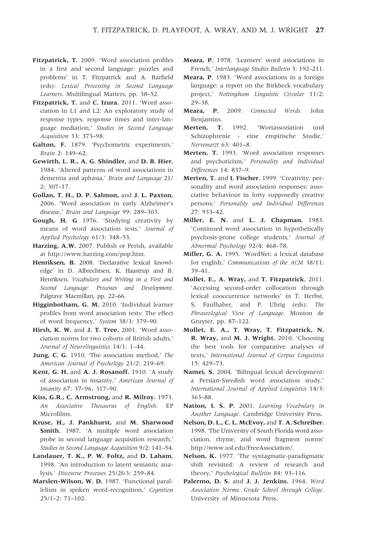- <span id="page-26-0"></span>Fitzpatrick, T. 2009. 'Word association profiles in a first and second language: puzzles and problems' in T. Fitzpatrick and A. Barfield (eds): Lexical Processing in Second Language Learners. Multilingual Matters, pp. 38–52.
- Fitzpatrick, T. and C. Izura. 2011. 'Word association in L1 and L2: An exploratory study of response types, response times and inter-language mediation,' Studies in Second Language Acquisition 33: 373–98.
- Galton, F. 1879. 'Psychometric experiments,' Brain 2: 149–62.
- Gewirth, L. R., A. G. Shindler, and D. B. Hier. 1984. 'Altered patterns of word associations in dementia and aphasia,' Brain and Language 21/ 2: 307–17.
- Gollan, T. H., D. P. Salmon, and J. L. Paxton. 2006. 'Word association in early Alzheimer's disease,' Brain and Language 99: 289–303.
- Gough, H. G 1976. 'Studying creativity by means of word association tests,' Journal of Applied Psychology 61/3: 348–53.
- Harzing, A.W. 2007. Publish or Perish, available at<http://www.harzing.com/pop.htm>.
- Henriksen, B. 2008. 'Declarative lexical knowledge' in D. Albrechtsen, K. Haastrup and B. Henriksen, Vocabulary and Writing in a First and Second Language: Processes and Development. Palgrave Macmillan, pp. 22–66.
- Higginbotham, G. M. 2010. 'Individual learner profiles from word association tests: The effect of word frequency,' System 38/3: 379–90.
- Hirsh, K. W. and J. T. Tree. 2001. 'Word association norms for two cohorts of British adults,' Journal of Neurolinguistics 14/1: 1–44.
- Jung, C. G. 1910. 'The association method,' The American Journal of Psychology 21/2: 219–69.
- Kent, G. H. and A. J. Rosanoff. 1910. 'A study of association in insanity,' American Journal of Insanity 67: 37–96, 317–90.
- Kiss, G.R., C. Armstrong, and R. Milroy. 1973. An Associative Thesaurus of English. EP Microfilms.
- Kruse, H., J. Pankhurst, and M. Sharwood Smith. 1987. 'A multiple word association probe in second language acquisition research,' Studies in Second Language Acquisition 9/2: 141–54.
- Landauer, T. K., P. W. Foltz, and D. Laham. 1998. 'An introduction to latent semantic analysis,' Discourse Processes 25/2&3: 259–84.
- Marslen-Wilson, W. D. 1987. 'Functional parallelism in spoken word-recognition,' Cognition 25/1–2: 71–102.
- Meara, P. 1978. 'Learners' word associations in French,' Interlanguage Studies Bulletin 3: 192–211.
- Meara, P. 1983. 'Word associations in a foreign language: a report on the Birkbeck vocabulary project,' Nottingham Linguistic Circular 11/2: 29–38.
- Meara, P. 2009. Connected Words. John Benjamins.
- Merten, T. 1992. 'Wortassoziation und Schizophrenie - eine empirische Studie,' Nervenarzt 63: 401–8.
- Merten, T. 1993. 'Word association responses and psychoticism,' Personality and Individual Differences 14: 837–9.
- Merten, T. and I. Fischer. 1999. 'Creativity, personality and word association responses: associative behaviour in forty supposedly creative persons,' Personality and Individual Differences 27: 933–42.
- Miller, E. N. and L. J. Chapman. 1983. 'Continued word association in hypothetically psychosis-prone college students,' Journal of Abnormal Psychology 92/4: 468–78.
- Miller, G. A. 1995. 'WordNet: a lexical database for english,' Communications of the ACM 38/11: 39–41.
- Mollet, E., A. Wray, and T. Fitzpatrick. 2011. 'Accessing second-order collocation through lexical cooccurrence networks' in T. Herbst, S. Faulhaber, and P. Uhrig (eds): The Phraseological View of Language. Mouton de Gruyter, pp. 87–122.
- Mollet, E. A., T. Wray, T. Fitzpatrick, N. R. Wray, and M. J. Wright. 2010. 'Choosing the best tools for comparative analyses of texts,' International Journal of Corpus Linguistics 15: 429–73.
- Namei, S. 2004. 'Bilingual lexical development: a Persian-Swedish word association study,' International Journal of Applied Linguistics 14/3: 363–88.
- Nation, I. S. P. 2001. Learning Vocabulary in Another Language. Cambridge University Press.
- Nelson, D. L., C. L. McEvoy, and T. A. Schreiber. 1998. 'The University of South Florida word association, rhyme, and word fragment norms' [http://www.usf.edu/FreeAssociation/.](http://www.usf.edu/FreeAssociation/)
- Nelson, K. 1977. 'The syntagmatic-paradigmatic shift revisited: A review of research and theory,' Psychological Bulletin 84: 93–116.
- Palermo, D. S. and J. J. Jenkins. 1964. Word Association Norms: Grade School through College. University of Minnesota Press.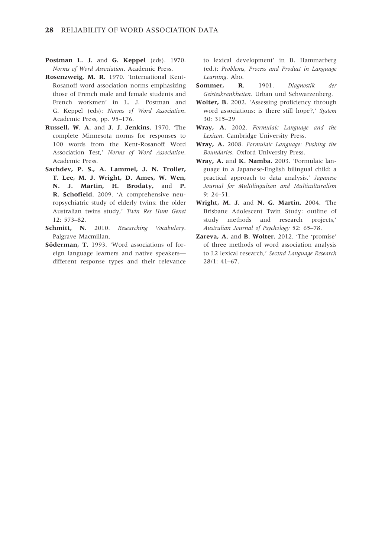- <span id="page-27-0"></span>Postman L. J. and G. Keppel (eds). 1970. Norms of Word Association. Academic Press.
- Rosenzweig, M. R. 1970. 'International Kent-Rosanoff word association norms emphasizing those of French male and female students and French workmen' in L. J. Postman and G. Keppel (eds): Norms of Word Association. Academic Press, pp. 95–176.
- Russell, W. A. and J. J. Jenkins. 1970. 'The complete Minnesota norms for responses to 100 words from the Kent-Rosanoff Word Association Test,' Norms of Word Association. Academic Press.
- Sachdev, P. S., A. Lammel, J. N. Troller, T. Lee, M. J. Wright, D. Ames, W. Wen, N. J. Martin, H. Brodaty, and P. R. Schofield. 2009. 'A comprehensive neuropsychiatric study of elderly twins: the older Australian twins study,' Twin Res Hum Genet 12: 573–82.
- Schmitt, N. 2010. Researching Vocabulary. Palgrave Macmillan.
- Söderman, T. 1993. 'Word associations of foreign language learners and native speakers different response types and their relevance

to lexical development' in B. Hammarberg (ed.): Problems, Process and Product in Language Learning. Abo.

- Sommer, R. 1901. Diagnostik der Geisteskrankheiten. Urban und Schwarzenberg.
- Wolter, B. 2002. 'Assessing proficiency through word associations: is there still hope?,' System 30: 315–29
- Wray, A. 2002. Formulaic Language and the Lexicon. Cambridge University Press.
- Wray, A. 2008. Formulaic Language: Pushing the Boundaries. Oxford University Press.
- Wray, A. and K. Namba. 2003. 'Formulaic language in a Japanese-English bilingual child: a practical approach to data analysis,' Japanese Journal for Multilingulism and Multiculturalism 9: 24–51.
- Wright, M. J. and N. G. Martin. 2004. 'The Brisbane Adolescent Twin Study: outline of study methods and research projects,' Australian Journal of Psychology 52: 65–78.
- Zareva, A. and B. Wolter. 2012. 'The 'promise' of three methods of word association analysis to L2 lexical research,' Second Language Research 28/1: 41–67.